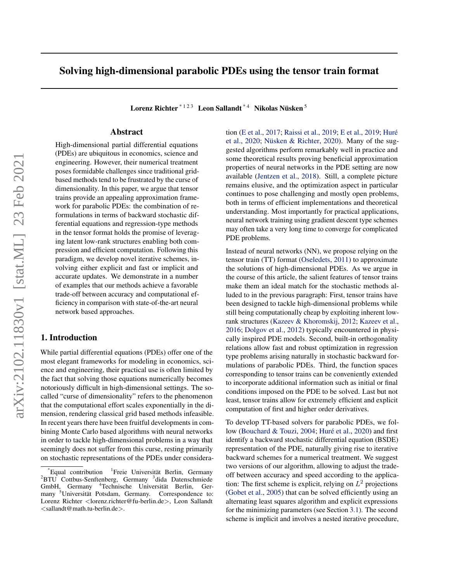# Solving high-dimensional parabolic PDEs using the tensor train format

Lorenz Richter  $^{\ast+2\,3}$  Leon Sallandt  $^{\ast\,4}\,$  Nikolas Nüsken  $^5$ 

### Abstract

High-dimensional partial differential equations (PDEs) are ubiquitous in economics, science and engineering. However, their numerical treatment poses formidable challenges since traditional gridbased methods tend to be frustrated by the curse of dimensionality. In this paper, we argue that tensor trains provide an appealing approximation framework for parabolic PDEs: the combination of reformulations in terms of backward stochastic differential equations and regression-type methods in the tensor format holds the promise of leveraging latent low-rank structures enabling both compression and efficient computation. Following this paradigm, we develop novel iterative schemes, involving either explicit and fast or implicit and accurate updates. We demonstrate in a number of examples that our methods achieve a favorable trade-off between accuracy and computational efficiency in comparison with state-of-the-art neural network based approaches.

### 1. Introduction

While partial differential equations (PDEs) offer one of the most elegant frameworks for modeling in economics, science and engineering, their practical use is often limited by the fact that solving those equations numerically becomes notoriously difficult in high-dimensional settings. The socalled "curse of dimensionality" refers to the phenomenon that the computational effort scales exponentially in the dimension, rendering classical grid based methods infeasible. In recent years there have been fruitful developments in combining Monte Carlo based algorithms with neural networks in order to tackle high-dimensional problems in a way that seemingly does not suffer from this curse, resting primarily on stochastic representations of the PDEs under consideration [\(E et al.,](#page-8-0) [2017;](#page-8-0) [Raissi et al.,](#page-10-0) [2019;](#page-10-0) [E et al.,](#page-8-0) [2019;](#page-8-0) [Hure´](#page-9-0) [et al.,](#page-9-0) [2020;](#page-9-0) Nüsken & Richter, [2020\)](#page-9-0). Many of the suggested algorithms perform remarkably well in practice and some theoretical results proving beneficial approximation properties of neural networks in the PDE setting are now available [\(Jentzen et al.,](#page-9-0) [2018\)](#page-9-0). Still, a complete picture remains elusive, and the optimization aspect in particular continues to pose challenging and mostly open problems, both in terms of efficient implementations and theoretical understanding. Most importantly for practical applications, neural network training using gradient descent type schemes may often take a very long time to converge for complicated PDE problems.

Instead of neural networks (NN), we propose relying on the tensor train (TT) format [\(Oseledets,](#page-9-0) [2011\)](#page-9-0) to approximate the solutions of high-dimensional PDEs. As we argue in the course of this article, the salient features of tensor trains make them an ideal match for the stochastic methods alluded to in the previous paragraph: First, tensor trains have been designed to tackle high-dimensional problems while still being computationally cheap by exploiting inherent lowrank structures [\(Kazeev & Khoromskij,](#page-9-0) [2012;](#page-9-0) [Kazeev et al.,](#page-9-0) [2016;](#page-9-0) [Dolgov et al.,](#page-8-0) [2012\)](#page-8-0) typically encountered in physically inspired PDE models. Second, built-in orthogonality relations allow fast and robust optimization in regression type problems arising naturally in stochastic backward formulations of parabolic PDEs. Third, the function spaces corresponding to tensor trains can be conveniently extended to incorporate additional information such as initial or final conditions imposed on the PDE to be solved. Last but not least, tensor trains allow for extremely efficient and explicit computation of first and higher order derivatives.

To develop TT-based solvers for parabolic PDEs, we fol-low [\(Bouchard & Touzi,](#page-8-0) [2004;](#page-8-0) Huré et al., [2020\)](#page-9-0) and first identify a backward stochastic differential equation (BSDE) representation of the PDE, naturally giving rise to iterative backward schemes for a numerical treatment. We suggest two versions of our algorithm, allowing to adjust the tradeoff between accuracy and speed according to the application: The first scheme is explicit, relying on  $L^2$  projections [\(Gobet et al.,](#page-8-0) [2005\)](#page-8-0) that can be solved efficiently using an alternating least squares algorithm and explicit expressions for the minimizing parameters (see Section [3.1\)](#page-3-0). The second scheme is implicit and involves a nested iterative procedure,

<sup>\*</sup>Equal contribution <sup>1</sup> <sup>1</sup>Freie Universität Berlin, Germany <sup>2</sup>BTU Cottbus-Senftenberg, Germany <sup>3</sup>dida Datenschmiede GmbH, Germany <sup>4</sup>Technische Universität Berlin, Germany <sup>5</sup>Universität Potsdam, Germany. Correspondence to: Lorenz Richter <lorenz.richter@fu-berlin.de>, Leon Sallandt <sallandt@math.tu-berlin.de>.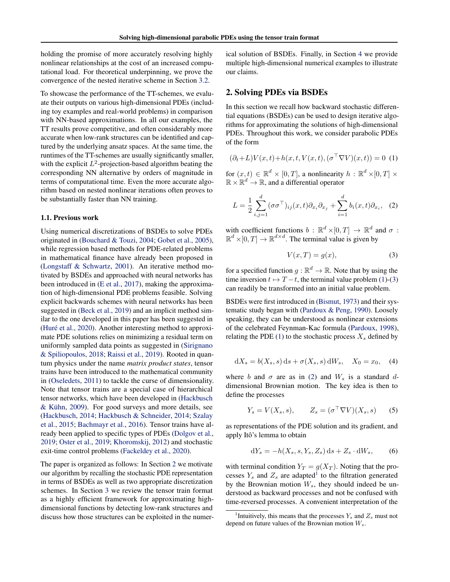<span id="page-1-0"></span>holding the promise of more accurately resolving highly nonlinear relationships at the cost of an increased computational load. For theoretical underpinning, we prove the convergence of the nested iterative scheme in Section [3.2.](#page-4-0)

To showcase the performance of the TT-schemes, we evaluate their outputs on various high-dimensional PDEs (including toy examples and real-world problems) in comparison with NN-based approximations. In all our examples, the TT results prove competitive, and often considerably more accurate when low-rank structures can be identified and captured by the underlying ansatz spaces. At the same time, the runtimes of the TT-schemes are usually significantly smaller, with the explicit  $L^2$ -projection-based algorithm beating the corresponding NN alternative by orders of magnitude in terms of computational time. Even the more accurate algorithm based on nested nonlinear iterations often proves to be substantially faster than NN training.

#### 1.1. Previous work

Using numerical discretizations of BSDEs to solve PDEs originated in [\(Bouchard & Touzi,](#page-8-0) [2004;](#page-8-0) [Gobet et al.,](#page-8-0) [2005\)](#page-8-0), while regression based methods for PDE-related problems in mathematical finance have already been proposed in [\(Longstaff & Schwartz,](#page-9-0) [2001\)](#page-9-0). An iterative method motivated by BSDEs and approached with neural networks has been introduced in [\(E et al.,](#page-8-0) [2017\)](#page-8-0), making the approximation of high-dimensional PDE problems feasible. Solving explicit backwards schemes with neural networks has been suggested in [\(Beck et al.,](#page-8-0) [2019\)](#page-8-0) and an implicit method similar to the one developed in this paper has been suggested in (Huré et al.,  $2020$ ). Another interesting method to approximate PDE solutions relies on minimizing a residual term on uniformly sampled data points as suggested in [\(Sirignano](#page-10-0) [& Spiliopoulos,](#page-10-0) [2018;](#page-10-0) [Raissi et al.,](#page-10-0) [2019\)](#page-10-0). Rooted in quantum physics under the name *matrix product states*, tensor trains have been introduced to the mathematical community in [\(Oseledets,](#page-9-0) [2011\)](#page-9-0) to tackle the curse of dimensionality. Note that tensor trains are a special case of hierarchical tensor networks, which have been developed in [\(Hackbusch](#page-9-0)  $& K<sub>ühn</sub>, 2009$ . For good surveys and more details, see [\(Hackbusch,](#page-8-0) [2014;](#page-8-0) [Hackbusch & Schneider,](#page-9-0) [2014;](#page-9-0) [Szalay](#page-10-0) [et al.,](#page-10-0) [2015;](#page-10-0) [Bachmayr et al.,](#page-8-0) [2016\)](#page-8-0). Tensor trains have already been applied to specific types of PDEs [\(Dolgov et al.,](#page-8-0) [2019;](#page-8-0) [Oster et al.,](#page-10-0) [2019;](#page-10-0) [Khoromskij,](#page-9-0) [2012\)](#page-9-0) and stochastic exit-time control problems [\(Fackeldey et al.,](#page-8-0) [2020\)](#page-8-0).

The paper is organized as follows: In Section 2 we motivate our algorithm by recalling the stochastic PDE representation in terms of BSDEs as well as two appropriate discretization schemes. In Section [3](#page-2-0) we review the tensor train format as a highly efficient framework for approximating highdimensional functions by detecting low-rank structures and discuss how those structures can be exploited in the numerical solution of BSDEs. Finally, in Section [4](#page-5-0) we provide multiple high-dimensional numerical examples to illustrate our claims.

### 2. Solving PDEs via BSDEs

In this section we recall how backward stochastic differential equations (BSDEs) can be used to design iterative algorithms for approximating the solutions of high-dimensional PDEs. Throughout this work, we consider parabolic PDEs of the form

$$
(\partial_t + L)V(x, t) + h(x, t, V(x, t), (\sigma^{\top}\nabla V)(x, t)) = 0
$$
 (1)

for  $(x, t) \in \mathbb{R}^d \times [0, T]$ , a nonlinearity  $h : \mathbb{R}^d \times [0, T] \times$  $\mathbb{R} \times \mathbb{R}^d \to \mathbb{R}$ , and a differential operator

$$
L = \frac{1}{2} \sum_{i,j=1}^{d} (\sigma \sigma^{\top})_{ij}(x,t) \partial_{x_i} \partial_{x_j} + \sum_{i=1}^{d} b_i(x,t) \partial_{x_i}, \quad (2)
$$

with coefficient functions  $b : \mathbb{R}^d \times [0, T] \to \mathbb{R}^d$  and  $\sigma$ :  $\mathbb{R}^d \times [0, T] \to \mathbb{R}^{d \times d}$ . The terminal value is given by

$$
V(x,T) = g(x),\tag{3}
$$

for a specified function  $g : \mathbb{R}^d \to \mathbb{R}$ . Note that by using the time inversion  $t \mapsto T-t$ , the terminal value problem (1)-(3) can readily be transformed into an initial value problem.

BSDEs were first introduced in [\(Bismut,](#page-8-0) [1973\)](#page-8-0) and their systematic study began with [\(Pardoux & Peng,](#page-10-0) [1990\)](#page-10-0). Loosely speaking, they can be understood as nonlinear extensions of the celebrated Feynman-Kac formula [\(Pardoux,](#page-10-0) [1998\)](#page-10-0), relating the PDE (1) to the stochastic process  $X_s$  defined by

$$
dX_s = b(X_s, s) ds + \sigma(X_s, s) dW_s, \quad X_0 = x_0, \quad (4)
$$

where b and  $\sigma$  are as in (2) and  $W_s$  is a standard ddimensional Brownian motion. The key idea is then to define the processes

$$
Y_s = V(X_s, s), \qquad Z_s = (\sigma^\top \nabla V)(X_s, s) \qquad (5)
$$

as representations of the PDE solution and its gradient, and apply Itô's lemma to obtain

$$
dY_s = -h(X_s, s, Y_s, Z_s) ds + Z_s \cdot dW_s, \qquad (6)
$$

with terminal condition  $Y_T = g(X_T)$ . Noting that the processes  $Y_s$  and  $Z_s$  are adapted<sup>1</sup> to the filtration generated by the Brownian motion  $W_s$ , they should indeed be understood as backward processes and not be confused with time-reversed processes. A convenient interpretation of the

<sup>&</sup>lt;sup>1</sup>Intuitively, this means that the processes  $Y_s$  and  $Z_s$  must not depend on future values of the Brownian motion  $W_s$ .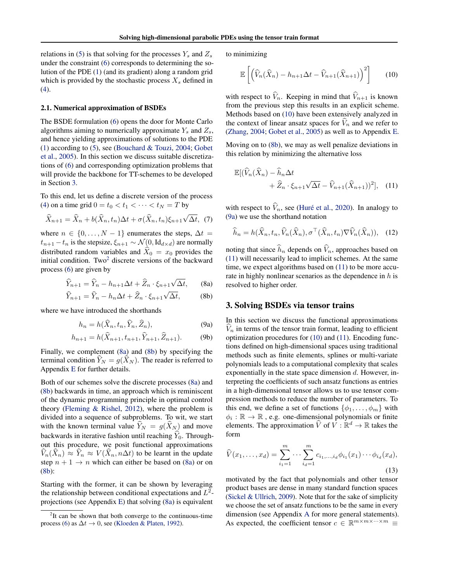<span id="page-2-0"></span>relations in [\(5\)](#page-1-0) is that solving for the processes  $Y_s$  and  $Z_s$ under the constraint [\(6\)](#page-1-0) corresponds to determining the solution of the PDE [\(1\)](#page-1-0) (and its gradient) along a random grid which is provided by the stochastic process  $X_s$  defined in [\(4\)](#page-1-0).

### 2.1. Numerical approximation of BSDEs

The BSDE formulation [\(6\)](#page-1-0) opens the door for Monte Carlo algorithms aiming to numerically approximate  $Y_s$  and  $Z_s$ , and hence yielding approximations of solutions to the PDE [\(1\)](#page-1-0) according to [\(5\)](#page-1-0), see [\(Bouchard & Touzi,](#page-8-0) [2004;](#page-8-0) [Gobet](#page-8-0) [et al.,](#page-8-0) [2005\)](#page-8-0). In this section we discuss suitable discretizations of [\(6\)](#page-1-0) and corresponding optimization problems that will provide the backbone for TT-schemes to be developed in Section 3.

To this end, let us define a discrete version of the process [\(4\)](#page-1-0) on a time grid  $0 = t_0 < t_1 < \cdots < t_N = T$  by

$$
\widehat{X}_{n+1} = \widehat{X}_n + b(\widehat{X}_n, t_n) \Delta t + \sigma(\widehat{X}_n, t_n) \xi_{n+1} \sqrt{\Delta t}, \tag{7}
$$

where  $n \in \{0, \ldots, N-1\}$  enumerates the steps,  $\Delta t =$  $t_{n+1} - t_n$  is the stepsize,  $\xi_{n+1} \sim \mathcal{N}(0, \text{Id}_{d \times d})$  are normally distributed random variables and  $\hat{X}_0 = x_0$  provides the initial condition. Two<sup>2</sup> discrete versions of the backward process [\(6\)](#page-1-0) are given by

$$
\widehat{Y}_{n+1} = \widehat{Y}_n - h_{n+1} \Delta t + \widehat{Z}_n \cdot \xi_{n+1} \sqrt{\Delta t}, \qquad \text{(8a)}
$$

$$
\widehat{Y}_{n+1} = \widehat{Y}_n - h_n \Delta t + \widehat{Z}_n \cdot \xi_{n+1} \sqrt{\Delta t}, \tag{8b}
$$

where we have introduced the shorthands

 $\Delta$ 

$$
h_n = h(\hat{X}_n, t_n, \hat{Y}_n, \hat{Z}_n), \tag{9a}
$$

$$
h_{n+1} = h(\hat{X}_{n+1}, t_{n+1}, \hat{Y}_{n+1}, \hat{Z}_{n+1}).
$$
 (9b)

Finally, we complement [\(8a\)](#page-1-0) and [\(8b\)](#page-1-0) by specifying the terminal condition  $Y_N = g(X_N)$ . The reader is referred to Appendix [E](#page-15-0) for further details.

Both of our schemes solve the discrete processes [\(8a\)](#page-1-0) and [\(8b\)](#page-1-0) backwards in time, an approach which is reminiscent of the dynamic programming principle in optimal control theory [\(Fleming & Rishel,](#page-8-0) [2012\)](#page-8-0), where the problem is divided into a sequence of subproblems. To wit, we start with the known terminal value  $Y_N = g(X_N)$  and move backwards in iterative fashion until reaching  $\hat{Y}_0$ . Throughout this procedure, we posit functional approximations  $\widehat{V}_n(\widehat{X}_n) \approx \widehat{Y}_n \approx V(\widehat{X}_n, n\Delta t)$  to be learnt in the update step  $n + 1 \rightarrow n$  which can either be based on [\(8a\)](#page-1-0) or on [\(8b\)](#page-1-0):

Starting with the former, it can be shown by leveraging the relationship between conditional expectations and  $L^2$ projections (see Appendix [E\)](#page-15-0) that solving [\(8a\)](#page-1-0) is equivalent

to minimizing

$$
\mathbb{E}\left[\left(\widehat{V}_n(\widehat{X}_n) - h_{n+1}\Delta t - \widehat{V}_{n+1}(\widehat{X}_{n+1})\right)^2\right] \qquad (10)
$$

with respect to  $\hat{V}_n$ . Keeping in mind that  $\hat{V}_{n+1}$  is known from the previous step this results in an explicit scheme. Methods based on (10) have been extensively analyzed in the context of linear ansatz spaces for  $V_n$  and we refer to [\(Zhang,](#page-10-0) [2004;](#page-10-0) [Gobet et al.,](#page-8-0) [2005\)](#page-8-0) as well as to Appendix [E.](#page-15-0)

Moving on to [\(8b\)](#page-1-0), we may as well penalize deviations in this relation by minimizing the alternative loss

$$
\mathbb{E}[(\widehat{V}_n(\widehat{X}_n) - \widehat{h}_n \Delta t + \widehat{Z}_n \cdot \xi_{n+1} \sqrt{\Delta t} - \widehat{V}_{n+1}(\widehat{X}_{n+1}))^2], \quad (11)
$$

with respect to  $\hat{V}_n$ , see (Huré et al., [2020\)](#page-9-0). In analogy to [\(9a\)](#page-1-0) we use the shorthand notation

$$
\widehat{h}_n = h(\widehat{X}_n, t_n, \widehat{V}_n(\widehat{X}_n), \sigma^{\top}(\widehat{X}_n, t_n) \nabla \widehat{V}_n(\widehat{X}_n)), \quad (12)
$$

noting that since  $\hat{h}_n$  depends on  $\hat{V}_n$ , approaches based on (11) will necessarily lead to implicit schemes. At the same time, we expect algorithms based on (11) to be more accurate in highly nonlinear scenarios as the dependence in  $h$  is resolved to higher order.

### 3. Solving BSDEs via tensor trains

In this section we discuss the functional approximations  $\hat{V}_n$  in terms of the tensor train format, leading to efficient optimization procedures for (10) and (11). Encoding functions defined on high-dimensional spaces using traditional methods such as finite elements, splines or multi-variate polynomials leads to a computational complexity that scales exponentially in the state space dimension  $d$ . However, interpreting the coefficients of such ansatz functions as entries in a high-dimensional tensor allows us to use tensor compression methods to reduce the number of parameters. To this end, we define a set of functions  $\{\phi_1, \ldots, \phi_m\}$  with  $\phi_i : \mathbb{R} \to \mathbb{R}$ , e.g. one-dimensional polynomials or finite elements. The approximation  $\widehat{V}$  of  $\widehat{V} : \mathbb{R}^d \to \mathbb{R}$  takes the form

$$
\widehat{V}(x_1,\ldots,x_d) = \sum_{i_1=1}^m \cdots \sum_{i_d=1}^m c_{i_1,\ldots,i_d} \phi_{i_1}(x_1) \cdots \phi_{i_d}(x_d),
$$
\n(13)

motivated by the fact that polynomials and other tensor product bases are dense in many standard function spaces [\(Sickel & Ullrich,](#page-10-0) [2009\)](#page-10-0). Note that for the sake of simplicity we choose the set of ansatz functions to be the same in every dimension (see Appendix [A](#page-11-0) for more general statements). As expected, the coefficient tensor  $c \in \mathbb{R}^{m \times m \times \cdots \times m} \equiv$ 

<sup>&</sup>lt;sup>2</sup>It can be shown that both converge to the continuous-time process [\(6\)](#page-1-0) as  $\Delta t \rightarrow 0$ , see [\(Kloeden & Platen,](#page-9-0) [1992\)](#page-9-0).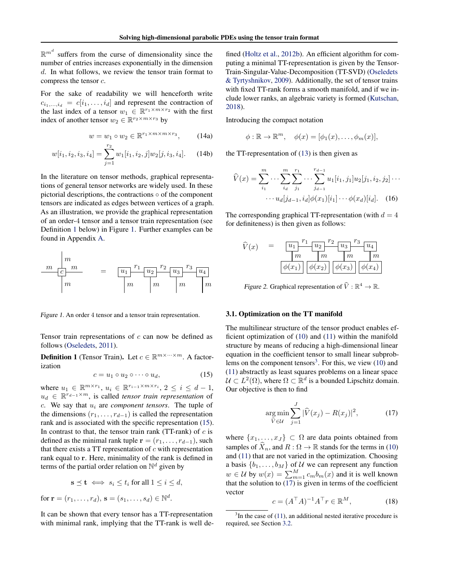<span id="page-3-0"></span> $\mathbb{R}^{m^d}$  suffers from the curse of dimensionality since the number of entries increases exponentially in the dimension d. In what follows, we review the tensor train format to compress the tensor c.

For the sake of readability we will henceforth write  $c_{i_1,\dots,i_d} = c[i_1,\dots,i_d]$  and represent the contraction of the last index of a tensor  $w_1 \in \mathbb{R}^{r_1 \times m \times r_2}$  with the first index of another tensor  $w_2 \in \mathbb{R}^{r_2 \times m \times r_3}$  by

$$
w = w_1 \circ w_2 \in \mathbb{R}^{r_1 \times m \times m \times r_3},\qquad(14a)
$$

$$
w[i_1, i_2, i_3, i_4] = \sum_{j=1}^{r_2} w_1[i_1, i_2, j] w_2[j, i_3, i_4].
$$
 (14b)

In the literature on tensor methods, graphical representations of general tensor networks are widely used. In these pictorial descriptions, the contractions ◦ of the component tensors are indicated as edges between vertices of a graph. As an illustration, we provide the graphical representation of an order-4 tensor and a tensor train representation (see Definition 1 below) in Figure 1. Further examples can be found in Appendix [A.](#page-11-0)



Figure 1. An order 4 tensor and a tensor train representation.

Tensor train representations of  $c$  can now be defined as follows [\(Oseledets,](#page-9-0) [2011\)](#page-9-0).

**Definition 1** (Tensor Train). Let  $c \in \mathbb{R}^{m \times \cdots \times m}$ . A factorization

$$
c = u_1 \circ u_2 \circ \cdots \circ u_d, \tag{15}
$$

where  $u_1 \in \mathbb{R}^{m \times r_1}$ ,  $u_i \in \mathbb{R}^{r_{i-1} \times m \times r_i}$ ,  $2 \leq i \leq d-1$ ,  $u_d \in \mathbb{R}^{r_{d-1} \times m}$ , is called *tensor train representation* of  $c$ . We say that  $u_i$  are *component tensors*. The tuple of the dimensions  $(r_1, \ldots, r_{d-1})$  is called the representation rank and is associated with the specific representation (15). In contrast to that, the tensor train rank (TT-rank) of  $c$  is defined as the minimal rank tuple  $\mathbf{r} = (r_1, \ldots, r_{d-1})$ , such that there exists a TT representation of  $c$  with representation rank equal to r. Here, minimality of the rank is defined in terms of the partial order relation on  $\mathbb{N}^d$  given by

$$
\mathbf{s} \preceq \mathbf{t} \iff s_i \le t_i \text{ for all } 1 \le i \le d,
$$

for  ${\bf r} = (r_1, ..., r_d), {\bf s} = (s_1, ..., s_d) \in \mathbb{N}^d$ .

It can be shown that every tensor has a TT-representation with minimal rank, implying that the TT-rank is well de-

fined [\(Holtz et al.,](#page-9-0) [2012b\)](#page-9-0). An efficient algorithm for computing a minimal TT-representation is given by the Tensor-Train-Singular-Value-Decomposition (TT-SVD) [\(Oseledets](#page-9-0) [& Tyrtyshnikov,](#page-9-0) [2009\)](#page-9-0). Additionally, the set of tensor trains with fixed TT-rank forms a smooth manifold, and if we include lower ranks, an algebraic variety is formed [\(Kutschan,](#page-9-0) [2018\)](#page-9-0).

Introducing the compact notation

$$
\phi : \mathbb{R} \to \mathbb{R}^m, \quad \phi(x) = [\phi_1(x), \dots, \phi_m(x)],
$$

the TT-representation of [\(13\)](#page-2-0) is then given as

$$
\widehat{V}(x) = \sum_{i_1}^{m} \cdots \sum_{i_d}^{m} \sum_{j_1}^{r_1} \cdots \sum_{j_{d-1}}^{r_{d-1}} u_1[i_1, j_1] u_2[j_1, i_2, j_2] \cdots
$$

$$
\cdots u_d[j_{d-1}, i_d] \phi(x_1)[i_1] \cdots \phi(x_d)[i_d]. \quad (16)
$$

The corresponding graphical TT-representation (with  $d = 4$ ) for definiteness) is then given as follows:

$$
\widehat{V}(x) = \frac{\begin{bmatrix} u_1 & r_1 & u_2 \end{bmatrix} \begin{bmatrix} r_2 & u_3 & r_3 & u_4 \end{bmatrix}}{\begin{bmatrix} m & m & m \end{bmatrix} \begin{bmatrix} m & m & m \end{bmatrix}} \begin{bmatrix} m & m & m \end{bmatrix}
$$
\n
$$
\phi(x_1) \begin{bmatrix} \phi(x_2) \end{bmatrix} \begin{bmatrix} \phi(x_3) \end{bmatrix} \begin{bmatrix} \phi(x_4) \end{bmatrix}
$$

Figure 2. Graphical representation of  $\widehat{V} : \mathbb{R}^4 \to \mathbb{R}$ .

#### 3.1. Optimization on the TT manifold

The multilinear structure of the tensor product enables efficient optimization of [\(10\)](#page-2-0) and [\(11\)](#page-2-0) within the manifold structure by means of reducing a high-dimensional linear equation in the coefficient tensor to small linear subproblems on the component tensors<sup>3</sup>. For this, we view  $(10)$  and [\(11\)](#page-2-0) abstractly as least squares problems on a linear space  $\mathcal{U} \subset L^2(\Omega)$ , where  $\Omega \subset \mathbb{R}^d$  is a bounded Lipschitz domain. Our objective is then to find

$$
\underset{\hat{V} \in \mathcal{U}}{\arg \min} \sum_{j=1}^{J} |\hat{V}(x_j) - R(x_j)|^2, \tag{17}
$$

where  $\{x_1, \ldots, x_J\} \subset \Omega$  are data points obtained from samples of  $\overline{X}_n$ , and  $R : \Omega \to \mathbb{R}$  stands for the terms in [\(10\)](#page-2-0) and [\(11\)](#page-2-0) that are not varied in the optimization. Choosing a basis  $\{b_1, \ldots, b_M\}$  of U we can represent any function  $w \in \mathcal{U}$  by  $w(x) = \sum_{m=1}^{M} c_m b_m(x)$  and it is well known that the solution to  $(17)$  is given in terms of the coefficient vector

$$
c = (A^{\top}A)^{-1}A^{\top}r \in \mathbb{R}^{M},\tag{18}
$$

 $3$ In the case of [\(11\)](#page-2-0), an additional nested iterative procedure is required, see Section [3.2.](#page-4-0)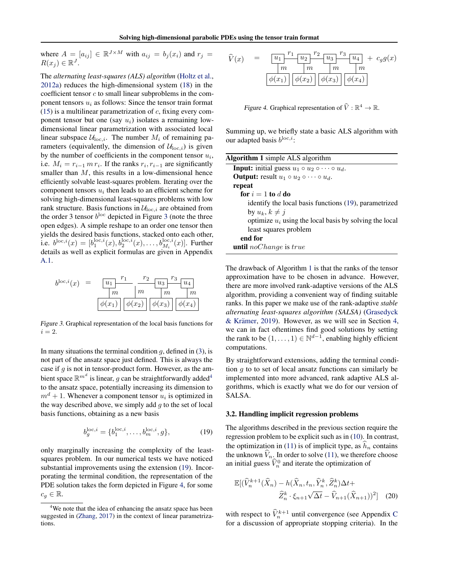<span id="page-4-0"></span>where  $A = [a_{ij}] \in \mathbb{R}^{J \times M}$  with  $a_{ij} = b_j(x_i)$  and  $r_j =$  $R(x_j) \in \mathbb{R}^J$ .

The *alternating least-squares (ALS) algorithm* [\(Holtz et al.,](#page-9-0) [2012a\)](#page-9-0) reduces the high-dimensional system [\(18\)](#page-3-0) in the coefficient tensor  $c$  to small linear subproblems in the component tensors  $u_i$  as follows: Since the tensor train format [\(15\)](#page-3-0) is a multilinear parametrization of  $c$ , fixing every component tensor but one (say  $u_i$ ) isolates a remaining lowdimensional linear parametrization with associated local linear subspace  $\mathcal{U}_{loc,i}$ . The number  $M_i$  of remaining parameters (equivalently, the dimension of  $U_{\text{loc},i}$ ) is given by the number of coefficients in the component tensor  $u_i$ , i.e.  $M_i = r_{i-1} m r_i$ . If the ranks  $r_i, r_{i-1}$  are significantly smaller than  $M$ , this results in a low-dimensional hence efficiently solvable least-squares problem. Iterating over the component tensors  $u_i$  then leads to an efficient scheme for solving high-dimensional least-squares problems with low rank structure. Basis functions in  $\mathcal{U}_{\text{loc},i}$  are obtained from the order 3 tensor  $b^{\text{loc}}$  depicted in Figure 3 (note the three open edges). A simple reshape to an order one tensor then yields the desired basis functions, stacked onto each other, i.e.  $b^{\text{loc},i}(x) = [b_1^{\text{loc},i}(x), b_2^{\text{loc},i}(x), \dots, b_{M_i}^{\text{loc},i}(x)]$ . Further details as well as explicit formulas are given in Appendix [A.1.](#page-11-0)



Figure 3. Graphical representation of the local basis functions for  $i = 2$ .

In many situations the terminal condition  $g$ , defined in [\(3\)](#page-1-0), is not part of the ansatz space just defined. This is always the case if  $g$  is not in tensor-product form. However, as the ambient space  $\mathbb{R}^{m^d}$  is linear,  $g$  can be straightforwardly added<sup>4</sup> to the ansatz space, potentially increasing its dimension to  $m<sup>d</sup> + 1$ . Whenever a component tensor  $u<sub>i</sub>$  is optimized in the way described above, we simply add  $q$  to the set of local basis functions, obtaining as a new basis

$$
b_g^{\text{loc},i} = \{b_1^{\text{loc},i}, \dots, b_m^{\text{loc},i}, g\},\tag{19}
$$

only marginally increasing the complexity of the leastsquares problem. In our numerical tests we have noticed substantial improvements using the extension (19). Incorporating the terminal condition, the representation of the PDE solution takes the form depicted in Figure 4, for some  $c_g \in \mathbb{R}$ .

| $\widehat{V}(x)$ | $u_1$<br>$\boldsymbol{m}$ | $r_2$<br>$u_2$<br>$\boldsymbol{m}$ | $r_3$<br>$u_3$                                    | $-u_4$<br>m | $+ cgg(x)$ |
|------------------|---------------------------|------------------------------------|---------------------------------------------------|-------------|------------|
|                  |                           |                                    | $ \phi(x_1)   \phi(x_2)   \phi(x_3)   \phi(x_4) $ |             |            |

Figure 4. Graphical representation of  $\widehat{V} : \mathbb{R}^4 \to \mathbb{R}$ .

Summing up, we briefly state a basic ALS algorithm with our adapted basis  $b^{\log,i}$ :

| <b>Algorithm 1</b> simple ALS algorithm                              |
|----------------------------------------------------------------------|
| <b>Input:</b> initial guess $u_1 \circ u_2 \circ \cdots \circ u_d$ . |
| <b>Output:</b> result $u_1 \circ u_2 \circ \cdots \circ u_d$ .       |
| repeat                                                               |
| for $i=1$ to d do                                                    |
| identify the local basis functions (19), parametrized                |
| by $u_k, k \neq i$                                                   |
| optimize $u_i$ using the local basis by solving the local            |
| least squares problem                                                |
| end for                                                              |
| <b>until</b> noChange is true                                        |

The drawback of Algorithm 1 is that the ranks of the tensor approximation have to be chosen in advance. However, there are more involved rank-adaptive versions of the ALS algorithm, providing a convenient way of finding suitable ranks. In this paper we make use of the rank-adaptive *stable alternating least-squares algorithm (SALSA)* [\(Grasedyck](#page-8-0) & Krämer, [2019\)](#page-8-0). However, as we will see in Section [4,](#page-5-0) we can in fact oftentimes find good solutions by setting the rank to be  $(1, \ldots, 1) \in \mathbb{N}^{d-1}$ , enabling highly efficient computations.

By straightforward extensions, adding the terminal condition  $q$  to to set of local ansatz functions can similarly be implemented into more advanced, rank adaptive ALS algorithms, which is exactly what we do for our version of SALSA.

### 3.2. Handling implicit regression problems

The algorithms described in the previous section require the regression problem to be explicit such as in [\(10\)](#page-2-0). In contrast, the optimization in [\(11\)](#page-2-0) is of implicit type, as  $h_n$  contains the unknown  $\hat{V}_n$ . In order to solve [\(11\)](#page-2-0), we therefore choose an initial guess  $\hat{V}_n^0$  and iterate the optimization of

$$
\mathbb{E}[(\widehat{V}_n^{k+1}(\widehat{X}_n) - h(\widehat{X}_n, t_n, \widehat{Y}_n^k, \widehat{Z}_n^k)\Delta t +
$$
  

$$
\widehat{Z}_n^k \cdot \xi_{n+1}\sqrt{\Delta t} - \widehat{V}_{n+1}(\widehat{X}_{n+1}))^2]
$$
 (20)

with respect to  $\hat{V}_n^{k+1}$  until convergence (see Appendix [C](#page-12-0) for a discussion of appropriate stopping criteria). In the

<sup>&</sup>lt;sup>4</sup>We note that the idea of enhancing the ansatz space has been suggested in [\(Zhang,](#page-10-0) [2017\)](#page-10-0) in the context of linear parametrizations.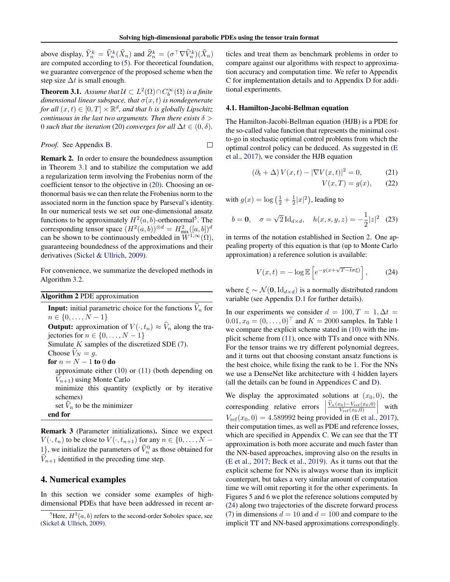<span id="page-5-0"></span>above display,  $\widehat{Y}_n^k = \widehat{V}_n^k(\widehat{X}_n)$  and  $\widehat{Z}_n^k = (\sigma^{\top} \nabla \widehat{V}_n^k)(\widehat{X}_n)$ are computed according to [\(5\)](#page-1-0). For theoretical foundation, we guarantee convergence of the proposed scheme when the step size  $\Delta t$  is small enough.

**Theorem 3.1.** Assume that  $\mathcal{U} \subset L^2(\Omega) \cap C_b^{\infty}(\Omega)$  is a finite *dimensional linear subspace, that*  $\sigma(x, t)$  *is nondegenerate* for all  $(x, t) \in [0, T] \times \mathbb{R}^d$ , and that *h* is globally Lipschitz *continuous in the last two arguments. Then there exists*  $\delta$  > 0 *such that the iteration* [\(20\)](#page-4-0) *converges for all*  $\Delta t \in (0, \delta)$ *.* 

*Proof.* See Appendix B. 
$$
\Box
$$

Remark 2. In order to ensure the boundedness assumption in Theorem 3.1 and to stabilize the computation we add a regularization term involving the Frobenius norm of the coefficient tensor to the objective in [\(20\)](#page-4-0). Choosing an orthonormal basis we can then relate the Frobenius norm to the associated norm in the function space by Parseval's identity. In our numerical tests we set our one-dimensional ansatz functions to be approximately  $H^2(a, b)$ -orthonormal<sup>5</sup>. The corresponding tensor space  $(H^2(a, b))^{\otimes d} = H^2_{\text{mix}}([a, b])^d$ can be shown to be continuously embedded in  $W^{1,\infty}(\Omega)$ , guaranteeing boundedness of the approximations and their derivatives [\(Sickel & Ullrich,](#page-10-0) [2009\)](#page-10-0).

For convenience, we summarize the developed methods in Algorithm 3.2.

|  |  | <b>Algorithm 2 PDE approximation</b> |
|--|--|--------------------------------------|
|--|--|--------------------------------------|

**Input:** initial parametric choice for the functions  $\widehat{V}_n$  for  $n \in \{0, \ldots, N-1\}$ **Output:** approximation of  $V(\cdot, t_n) \approx \hat{V}_n$  along the trajectories for  $n \in \{0, \ldots, N-1\}$ Simulate  $K$  samples of the discretized SDE  $(7)$ . Choose  $V_N = g$ . for  $n = N - 1$  to 0 do approximate either [\(10\)](#page-2-0) or [\(11\)](#page-2-0) (both depending on  $V_{n+1}$ ) using Monte Carlo minimize this quantity (explictly or by iterative schemes) set  $V_n$  to be the minimizer end for

Remark 3 (Parameter initializations). Since we expect  $V(\cdot, t_n)$  to be close to  $V(\cdot, t_{n+1})$  for any  $n \in \{0, \dots, N - \}$ 1), we initialize the parameters of  $\hat{V}_n^0$  as those obtained for  $V_{n+1}$  identified in the preceding time step.

### 4. Numerical examples

In this section we consider some examples of highdimensional PDEs that have been addressed in recent articles and treat them as benchmark problems in order to compare against our algorithms with respect to approximation accuracy and computation time. We refer to Appendix [C](#page-12-0) for implementation details and to Appendix [D](#page-14-0) for additional experiments.

### 4.1. Hamilton-Jacobi-Bellman equation

The Hamilton-Jacobi-Bellman equation (HJB) is a PDE for the so-called value function that represents the minimal costto-go in stochastic optimal control problems from which the optimal control policy can be deduced. As suggested in [\(E](#page-8-0) [et al.,](#page-8-0) [2017\)](#page-8-0), we consider the HJB equation

$$
\left(\partial_t + \Delta\right) V(x, t) - |\nabla V(x, t)|^2 = 0,\tag{21}
$$

$$
V(x,T) = g(x), \qquad (22)
$$

with  $g(x) = \log\left(\frac{1}{2} + \frac{1}{2}|x|^2\right)$ , leading to

$$
b = 0
$$
,  $\sigma = \sqrt{2} \operatorname{Id}_{d \times d}$ ,  $h(x, s, y, z) = -\frac{1}{2} |z|^2$  (23)

in terms of the notation established in Section [2.](#page-1-0) One appealing property of this equation is that (up to Monte Carlo approximation) a reference solution is available:

$$
V(x,t) = -\log \mathbb{E}\left[e^{-g(x+\sqrt{T-t}\sigma\xi)}\right],\qquad(24)
$$

where  $\xi \sim \mathcal{N}(\mathbf{0}, \text{Id}_{d \times d})$  is a normally distributed random variable (see Appendix [D.1](#page-14-0) for further details).

In our experiments we consider  $d = 100, T = 1, \Delta t =$  $0.01, x_0 = (0, \ldots, 0)^{\top}$  $0.01, x_0 = (0, \ldots, 0)^{\top}$  $0.01, x_0 = (0, \ldots, 0)^{\top}$  and  $K = 2000$  samples. In Table 1 we compare the explicit scheme stated in [\(10\)](#page-2-0) with the implicit scheme from [\(11\)](#page-2-0), once with TTs and once with NNs. For the tensor trains we try different polynomial degrees, and it turns out that choosing constant ansatz functions is the best choice, while fixing the rank to be 1. For the NNs we use a DenseNet like architecture with 4 hidden layers (all the details can be found in Appendices [C](#page-12-0) and [D\)](#page-14-0).

We display the approximated solutions at  $(x_0, 0)$ , the corresponding relative errors  $\begin{array}{c} \begin{array}{c} \begin{array}{c} \end{array} \\ \begin{array}{c} \end{array} \end{array} \end{array}$  $\frac{\widehat{V}_n(x_0) - V_{\text{ref}}(x_0,0)}{V_{\text{ref}}(x_0,0)}$ with  $V_{ref}(x_0, 0) = 4.589992$  being provided in [\(E et al.,](#page-8-0) [2017\)](#page-8-0), their computation times, as well as PDE and reference losses, which are specified in Appendix [C.](#page-12-0) We can see that the TT approximation is both more accurate and much faster than the NN-based approaches, improving also on the results in [\(E et al.,](#page-8-0) [2017;](#page-8-0) [Beck et al.,](#page-8-0) [2019\)](#page-8-0). As it turns out that the explicit scheme for NNs is always worse than its implicit counterpart, but takes a very similar amount of computation time we will omit reporting it for the other experiments. In Figures [5](#page-6-0) and [6](#page-6-0) we plot the reference solutions computed by (24) along two trajectories of the discrete forward process [\(7\)](#page-2-0) in dimensions  $d = 10$  and  $d = 100$  and compare to the implicit TT and NN-based approximations correspondingly.

<sup>&</sup>lt;sup>5</sup>Here,  $H^2(a, b)$  refers to the second-order Sobolev space, see [\(Sickel & Ullrich,](#page-10-0) [2009\)](#page-10-0).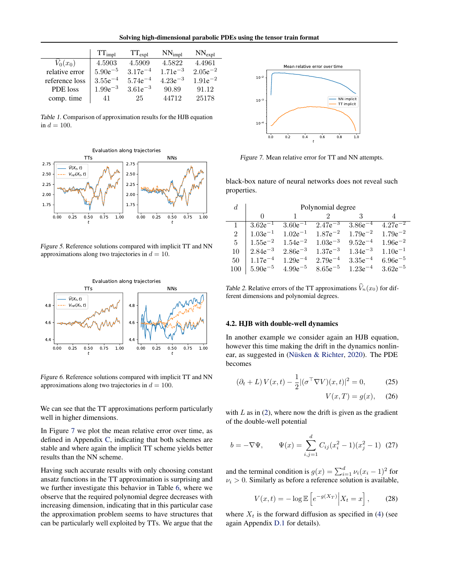Solving high-dimensional parabolic PDEs using the tensor train format

<span id="page-6-0"></span>

|                | $TT_{impl}$  | $TT_{expl}$  | $NN_{impl}$  | $NN_{expl}$  |
|----------------|--------------|--------------|--------------|--------------|
| $V_0(x_0)$     | 4.5903       | 4.5909       | 4.5822       | 4.4961       |
| relative error | $5.90e^{-5}$ | $3.17e^{-4}$ | $1.71e^{-3}$ | $2.05e^{-2}$ |
| reference loss | $3.55e^{-4}$ | $5.74e^{-4}$ | $4.23e^{-3}$ | $1.91e^{-2}$ |
| PDE loss       | $1.99e^{-3}$ | $3.61e^{-3}$ | 90.89        | 91.12        |
| comp. time     | 41           | 25           | 44712        | 25178        |

Table 1. Comparison of approximation results for the HJB equation in  $d = 100$ .



Figure 5. Reference solutions compared with implicit TT and NN approximations along two trajectories in  $d = 10$ .



Figure 6. Reference solutions compared with implicit TT and NN approximations along two trajectories in  $d = 100$ .

We can see that the TT approximations perform particularly well in higher dimensions.

In Figure 7 we plot the mean relative error over time, as defined in Appendix [C,](#page-12-0) indicating that both schemes are stable and where again the implicit TT scheme yields better results than the NN scheme.

Having such accurate results with only choosing constant ansatz functions in the TT approximation is surprising and we further investigate this behavior in Table [6,](#page-7-0) where we observe that the required polynomial degree decreases with increasing dimension, indicating that in this particular case the approximation problem seems to have structures that can be particularly well exploited by TTs. We argue that the



Figure 7. Mean relative error for TT and NN attempts.

black-box nature of neural networks does not reveal such properties.

| d.             | Polynomial degree |              |              |              |              |
|----------------|-------------------|--------------|--------------|--------------|--------------|
|                | $\Omega$          |              |              |              |              |
|                | $3.62e^{-1}$      | $3.60e^{-1}$ | $2.47e^{-3}$ | $3.86e^{-4}$ | $4.27e^{-2}$ |
| $\overline{2}$ | $1.03e^{-1}$      | $1.02e^{-1}$ | $1.87e^{-2}$ | $1.79e^{-2}$ | $1.79e^{-2}$ |
| 5              | $1.55e^{-2}$      | $1.54e^{-2}$ | $1.03e^{-3}$ | $9.52e^{-4}$ | $1.96e^{-2}$ |
| 10             | $2.84e^{-3}$      | $2.86e^{-3}$ | $1.37e^{-3}$ | $1.34e^{-3}$ | $1.10e^{-1}$ |
| 50             | $1.17e^{-4}$      | $1.29e^{-4}$ | $2.79e^{-4}$ | $3.35e^{-4}$ | $6.96e^{-5}$ |
| 100            | $5.90e^{-5}$      | $4.99e^{-5}$ | $8.65e^{-5}$ | $1.23e^{-4}$ | $3.62e^{-5}$ |

Table 2. Relative errors of the TT approximations  $\widehat{V}_n(x_0)$  for different dimensions and polynomial degrees.

### 4.2. HJB with double-well dynamics

In another example we consider again an HJB equation, however this time making the drift in the dynamics nonlinear, as suggested in (Nüsken  $&$  Richter, [2020\)](#page-9-0). The PDE becomes

$$
(\partial_t + L) V(x, t) - \frac{1}{2} |(\sigma^\top \nabla V)(x, t)|^2 = 0,
$$
 (25)

$$
V(x,T) = g(x), \quad (26)
$$

with  $L$  as in [\(2\)](#page-1-0), where now the drift is given as the gradient of the double-well potential

$$
b = -\nabla \Psi, \qquad \Psi(x) = \sum_{i,j=1}^{d} C_{ij} (x_i^2 - 1)(x_j^2 - 1) \tag{27}
$$

and the terminal condition is  $g(x) = \sum_{i=1}^{d} \nu_i (x_i - 1)^2$  for  $\nu_i > 0$ . Similarly as before a reference solution is available,

$$
V(x,t) = -\log \mathbb{E}\left[e^{-g(X_T)}\Big|X_t = x\right],\qquad(28)
$$

where  $X_t$  is the forward diffusion as specified in [\(4\)](#page-1-0) (see again Appendix [D.1](#page-14-0) for details).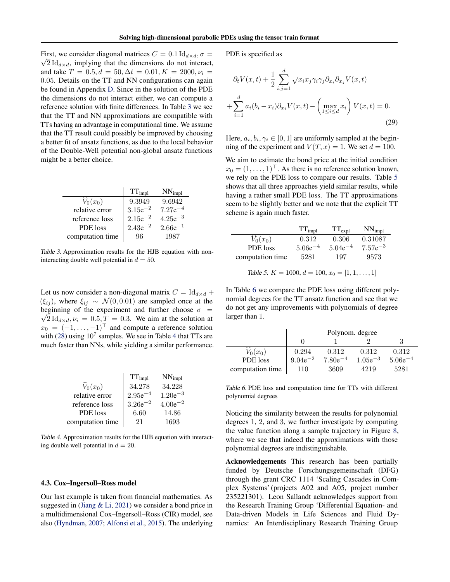<span id="page-7-0"></span>First, we consider diagonal matrices  $C = 0.1 \, \text{Id}_{d \times d}$ ,  $\sigma =$  $\sqrt{2} \, \text{Id}_{d \times d}$ , implying that the dimensions do not interact, and take  $T = 0.5, d = 50, \Delta t = 0.01, K = 2000, \nu_i =$ 0.05. Details on the TT and NN configurations can again be found in Appendix [D.](#page-14-0) Since in the solution of the PDE the dimensions do not interact either, we can compute a reference solution with finite differences. In Table 3 we see that the TT and NN approximations are compatible with TTs having an advantage in computational time. We assume that the TT result could possibly be improved by choosing a better fit of ansatz functions, as due to the local behavior of the Double-Well potential non-global ansatz functions might be a better choice.

|                  | $TT_{impl}$  | $NN_{impl}$  |
|------------------|--------------|--------------|
| $\hat{V}_0(x_0)$ | 9.3949       | 9.6942       |
| relative error   | $3.15e^{-2}$ | $7.27e^{-4}$ |
| reference loss   | $2.15e^{-2}$ | $4.25e^{-3}$ |
| PDE loss         | $2.43e^{-2}$ | $2.66e^{-1}$ |
| computation time | 96           | 1987         |

Table 3. Approximation results for the HJB equation with noninteracting double well potential in  $d = 50$ .

Let us now consider a non-diagonal matrix  $C = \mathrm{Id}_{d \times d} +$  $(\xi_{ij})$ , where  $\xi_{ij} \sim \mathcal{N}(0, 0.01)$  are sampled once at the beginning of the experiment and further choose  $\sigma =$  $\sqrt{2} \text{Id}_{d \times d}$ ,  $\nu_i = 0.5, T = 0.3$ . We aim at the solution at  $x_0 = (-1, \ldots, -1)^\top$  and compute a reference solution with [\(28\)](#page-6-0) using  $10^7$  samples. We see in Table 4 that TTs are much faster than NNs, while yielding a similar performance.

|                      | $TT_{impl}$  | $NN_{impl}$  |
|----------------------|--------------|--------------|
| $\widehat{V}_0(x_0)$ | 34.278       | 34.228       |
| relative error       | $2.95e^{-4}$ | $1.20e^{-3}$ |
| reference loss       | $3.26e^{-2}$ | $4.00e^{-2}$ |
| PDE loss             | 6.60         | 14.86        |
| computation time     | 21           | 1693         |

Table 4. Approximation results for the HJB equation with interacting double well potential in  $d = 20$ .

#### 4.3. Cox–Ingersoll–Ross model

Our last example is taken from financial mathematics. As suggested in [\(Jiang & Li,](#page-9-0) [2021\)](#page-9-0) we consider a bond price in a multidimensional Cox–Ingersoll–Ross (CIR) model, see also [\(Hyndman,](#page-9-0) [2007;](#page-9-0) [Alfonsi et al.,](#page-8-0) [2015\)](#page-8-0). The underlying PDE is specified as

$$
\partial_t V(x,t) + \frac{1}{2} \sum_{i,j=1}^d \sqrt{x_i x_j} \gamma_i \gamma_j \partial_{x_i} \partial_{x_j} V(x,t)
$$

$$
+ \sum_{i=1}^d a_i (b_i - x_i) \partial_{x_i} V(x,t) - \left( \max_{1 \le i \le d} x_i \right) V(x,t) = 0.
$$
(29)

Here,  $a_i, b_i, \gamma_i \in [0, 1]$  are uniformly sampled at the beginning of the experiment and  $V(T, x) = 1$ . We set  $d = 100$ .

We aim to estimate the bond price at the initial condition  $x_0 = (1, \ldots, 1)^\top$ . As there is no reference solution known, we rely on the PDE loss to compare our results. Table 5 shows that all three approaches yield similar results, while having a rather small PDE loss. The TT approximations seem to be slightly better and we note that the explicit TT scheme is again much faster.

|                  | $TT_{impl}$  | $TT_{expl}$  | $NN_{impl}$  |
|------------------|--------------|--------------|--------------|
| $V_0(x_0)$       | 0.312        | 0.306        | 0.31087      |
| PDE loss         | $5.06e^{-4}$ | $5.04e^{-4}$ | $7.57e^{-3}$ |
| computation time | 5281         | 197          | 9573         |

Table 5. 
$$
K = 1000, d = 100, x_0 = [1, 1, \ldots, 1]
$$

In Table 6 we compare the PDE loss using different polynomial degrees for the TT ansatz function and see that we do not get any improvements with polynomials of degree larger than 1.

|                  | Polynom. degree |              |              |              |
|------------------|-----------------|--------------|--------------|--------------|
|                  |                 |              |              |              |
| $V_0(x_0)$       | 0.294           | 0.312        | 0.312        | 0.312        |
| PDE loss         | $9.04e^{-2}$    | $7.80e^{-4}$ | $1.05e^{-3}$ | $5.06e^{-4}$ |
| computation time | 110             | 3609         | 4219         | 5281         |

Table 6. PDE loss and computation time for TTs with different polynomial degrees

Noticing the similarity between the results for polynomial degrees 1, 2, and 3, we further investigate by computing the value function along a sample trajectory in Figure [8,](#page-8-0) where we see that indeed the approximations with those polynomial degrees are indistinguishable.

Acknowledgements This research has been partially funded by Deutsche Forschungsgemeinschaft (DFG) through the grant CRC 1114 'Scaling Cascades in Complex Systems' (projects A02 and A05, project number 235221301). Leon Sallandt acknowledges support from the Research Training Group 'Differential Equation- and Data-driven Models in Life Sciences and Fluid Dynamics: An Interdisciplinary Research Training Group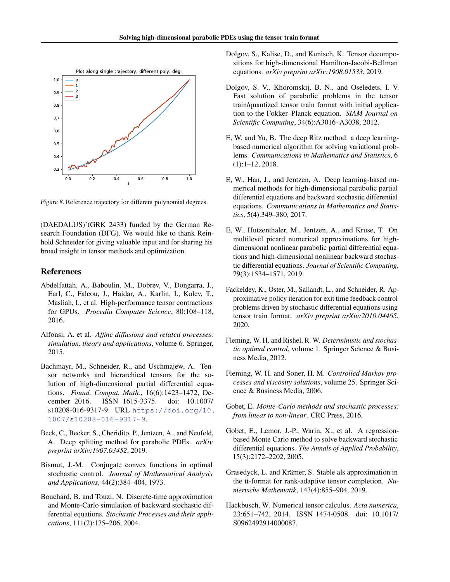<span id="page-8-0"></span>

Figure 8. Reference trajectory for different polynomial degrees.

(DAEDALUS)'(GRK 2433) funded by the German Research Foundation (DFG). We would like to thank Reinhold Schneider for giving valuable input and for sharing his broad insight in tensor methods and optimization.

### References

- Abdelfattah, A., Baboulin, M., Dobrev, V., Dongarra, J., Earl, C., Falcou, J., Haidar, A., Karlin, I., Kolev, T., Masliah, I., et al. High-performance tensor contractions for GPUs. *Procedia Computer Science*, 80:108–118, 2016.
- Alfonsi, A. et al. *Affine diffusions and related processes: simulation, theory and applications*, volume 6. Springer, 2015.
- Bachmayr, M., Schneider, R., and Uschmajew, A. Tensor networks and hierarchical tensors for the solution of high-dimensional partial differential equations. *Found. Comput. Math.*, 16(6):1423–1472, December 2016. ISSN 1615-3375. doi: 10.1007/ s10208-016-9317-9. URL [https://doi.org/10.](https://doi.org/10.1007/s10208-016-9317-9) [1007/s10208-016-9317-9](https://doi.org/10.1007/s10208-016-9317-9).
- Beck, C., Becker, S., Cheridito, P., Jentzen, A., and Neufeld, A. Deep splitting method for parabolic PDEs. *arXiv preprint arXiv:1907.03452*, 2019.
- Bismut, J.-M. Conjugate convex functions in optimal stochastic control. *Journal of Mathematical Analysis and Applications*, 44(2):384–404, 1973.
- Bouchard, B. and Touzi, N. Discrete-time approximation and Monte-Carlo simulation of backward stochastic differential equations. *Stochastic Processes and their applications*, 111(2):175–206, 2004.
- Dolgov, S., Kalise, D., and Kunisch, K. Tensor decompositions for high-dimensional Hamilton-Jacobi-Bellman equations. *arXiv preprint arXiv:1908.01533*, 2019.
- Dolgov, S. V., Khoromskij, B. N., and Oseledets, I. V. Fast solution of parabolic problems in the tensor train/quantized tensor train format with initial application to the Fokker–Planck equation. *SIAM Journal on Scientific Computing*, 34(6):A3016–A3038, 2012.
- E, W. and Yu, B. The deep Ritz method: a deep learningbased numerical algorithm for solving variational problems. *Communications in Mathematics and Statistics*, 6 (1):1–12, 2018.
- E, W., Han, J., and Jentzen, A. Deep learning-based numerical methods for high-dimensional parabolic partial differential equations and backward stochastic differential equations. *Communications in Mathematics and Statistics*, 5(4):349–380, 2017.
- E, W., Hutzenthaler, M., Jentzen, A., and Kruse, T. On multilevel picard numerical approximations for highdimensional nonlinear parabolic partial differential equations and high-dimensional nonlinear backward stochastic differential equations. *Journal of Scientific Computing*, 79(3):1534–1571, 2019.
- Fackeldey, K., Oster, M., Sallandt, L., and Schneider, R. Approximative policy iteration for exit time feedback control problems driven by stochastic differential equations using tensor train format. *arXiv preprint arXiv:2010.04465*, 2020.
- Fleming, W. H. and Rishel, R. W. *Deterministic and stochastic optimal control*, volume 1. Springer Science & Business Media, 2012.
- Fleming, W. H. and Soner, H. M. *Controlled Markov processes and viscosity solutions*, volume 25. Springer Science & Business Media, 2006.
- Gobet, E. *Monte-Carlo methods and stochastic processes: from linear to non-linear*. CRC Press, 2016.
- Gobet, E., Lemor, J.-P., Warin, X., et al. A regressionbased Monte Carlo method to solve backward stochastic differential equations. *The Annals of Applied Probability*, 15(3):2172–2202, 2005.
- Grasedyck, L. and Krämer, S. Stable als approximation in the tt-format for rank-adaptive tensor completion. *Numerische Mathematik*, 143(4):855–904, 2019.
- Hackbusch, W. Numerical tensor calculus. *Acta numerica*, 23:651–742, 2014. ISSN 1474-0508. doi: 10.1017/ S0962492914000087.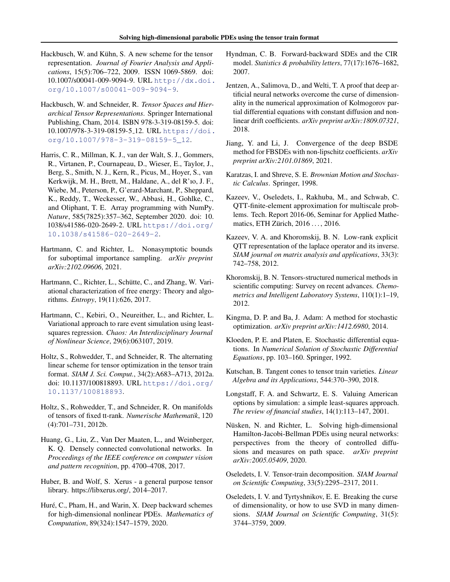- <span id="page-9-0"></span>Hackbusch, W. and Kühn, S. A new scheme for the tensor representation. *Journal of Fourier Analysis and Applications*, 15(5):706–722, 2009. ISSN 1069-5869. doi: 10.1007/s00041-009-9094-9. URL [http://dx.doi.](http://dx.doi.org/10.1007/s00041-009-9094-9) [org/10.1007/s00041-009-9094-9](http://dx.doi.org/10.1007/s00041-009-9094-9).
- Hackbusch, W. and Schneider, R. *Tensor Spaces and Hierarchical Tensor Representations*. Springer International Publishing, Cham, 2014. ISBN 978-3-319-08159-5. doi: 10.1007/978-3-319-08159-5 12. URL [https://doi.](https://doi.org/10.1007/978-3-319-08159-5_12) [org/10.1007/978-3-319-08159-5\\_12](https://doi.org/10.1007/978-3-319-08159-5_12).
- Harris, C. R., Millman, K. J., van der Walt, S. J., Gommers, R., Virtanen, P., Cournapeau, D., Wieser, E., Taylor, J., Berg, S., Smith, N. J., Kern, R., Picus, M., Hoyer, S., van Kerkwijk, M. H., Brett, M., Haldane, A., del R'ıo, J. F., Wiebe, M., Peterson, P., G'erard-Marchant, P., Sheppard, K., Reddy, T., Weckesser, W., Abbasi, H., Gohlke, C., and Oliphant, T. E. Array programming with NumPy. *Nature*, 585(7825):357–362, September 2020. doi: 10. 1038/s41586-020-2649-2. URL [https://doi.org/](https://doi.org/10.1038/s41586-020-2649-2) [10.1038/s41586-020-2649-2](https://doi.org/10.1038/s41586-020-2649-2).
- Hartmann, C. and Richter, L. Nonasymptotic bounds for suboptimal importance sampling. *arXiv preprint arXiv:2102.09606*, 2021.
- Hartmann, C., Richter, L., Schütte, C., and Zhang, W. Variational characterization of free energy: Theory and algorithms. *Entropy*, 19(11):626, 2017.
- Hartmann, C., Kebiri, O., Neureither, L., and Richter, L. Variational approach to rare event simulation using leastsquares regression. *Chaos: An Interdisciplinary Journal of Nonlinear Science*, 29(6):063107, 2019.
- Holtz, S., Rohwedder, T., and Schneider, R. The alternating linear scheme for tensor optimization in the tensor train format. *SIAM J. Sci. Comput.*, 34(2):A683–A713, 2012a. doi: 10.1137/100818893. URL [https://doi.org/](https://doi.org/10.1137/100818893) [10.1137/100818893](https://doi.org/10.1137/100818893).
- Holtz, S., Rohwedder, T., and Schneider, R. On manifolds of tensors of fixed tt-rank. *Numerische Mathematik*, 120 (4):701–731, 2012b.
- Huang, G., Liu, Z., Van Der Maaten, L., and Weinberger, K. Q. Densely connected convolutional networks. In *Proceedings of the IEEE conference on computer vision and pattern recognition*, pp. 4700–4708, 2017.
- Huber, B. and Wolf, S. Xerus a general purpose tensor library. https://libxerus.org/, 2014–2017.
- Huré, C., Pham, H., and Warin, X. Deep backward schemes for high-dimensional nonlinear PDEs. *Mathematics of Computation*, 89(324):1547–1579, 2020.
- Hyndman, C. B. Forward-backward SDEs and the CIR model. *Statistics & probability letters*, 77(17):1676–1682, 2007.
- Jentzen, A., Salimova, D., and Welti, T. A proof that deep artificial neural networks overcome the curse of dimensionality in the numerical approximation of Kolmogorov partial differential equations with constant diffusion and nonlinear drift coefficients. *arXiv preprint arXiv:1809.07321*, 2018.
- Jiang, Y. and Li, J. Convergence of the deep BSDE method for FBSDEs with non-lipschitz coefficients. *arXiv preprint arXiv:2101.01869*, 2021.
- Karatzas, I. and Shreve, S. E. *Brownian Motion and Stochastic Calculus*. Springer, 1998.
- Kazeev, V., Oseledets, I., Rakhuba, M., and Schwab, C. QTT-finite-element approximation for multiscale problems. Tech. Report 2016-06, Seminar for Applied Mathematics, ETH Zürich, 2016 . . . , 2016.
- Kazeev, V. A. and Khoromskij, B. N. Low-rank explicit QTT representation of the laplace operator and its inverse. *SIAM journal on matrix analysis and applications*, 33(3): 742–758, 2012.
- Khoromskij, B. N. Tensors-structured numerical methods in scientific computing: Survey on recent advances. *Chemometrics and Intelligent Laboratory Systems*, 110(1):1–19, 2012.
- Kingma, D. P. and Ba, J. Adam: A method for stochastic optimization. *arXiv preprint arXiv:1412.6980*, 2014.
- Kloeden, P. E. and Platen, E. Stochastic differential equations. In *Numerical Solution of Stochastic Differential Equations*, pp. 103–160. Springer, 1992.
- Kutschan, B. Tangent cones to tensor train varieties. *Linear Algebra and its Applications*, 544:370–390, 2018.
- Longstaff, F. A. and Schwartz, E. S. Valuing American options by simulation: a simple least-squares approach. *The review of financial studies*, 14(1):113–147, 2001.
- Nüsken, N. and Richter, L. Solving high-dimensional Hamilton-Jacobi-Bellman PDEs using neural networks: perspectives from the theory of controlled diffusions and measures on path space. *arXiv preprint arXiv:2005.05409*, 2020.
- Oseledets, I. V. Tensor-train decomposition. *SIAM Journal on Scientific Computing*, 33(5):2295–2317, 2011.
- Oseledets, I. V. and Tyrtyshnikov, E. E. Breaking the curse of dimensionality, or how to use SVD in many dimensions. *SIAM Journal on Scientific Computing*, 31(5): 3744–3759, 2009.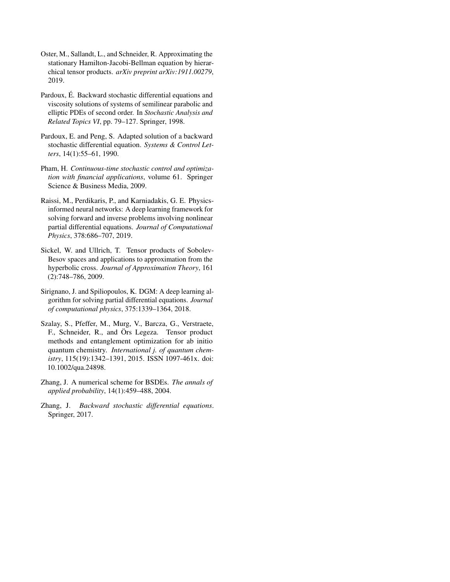- <span id="page-10-0"></span>Oster, M., Sallandt, L., and Schneider, R. Approximating the stationary Hamilton-Jacobi-Bellman equation by hierarchical tensor products. *arXiv preprint arXiv:1911.00279*, 2019.
- Pardoux, É. Backward stochastic differential equations and viscosity solutions of systems of semilinear parabolic and elliptic PDEs of second order. In *Stochastic Analysis and Related Topics VI*, pp. 79–127. Springer, 1998.
- Pardoux, E. and Peng, S. Adapted solution of a backward stochastic differential equation. *Systems & Control Letters*, 14(1):55–61, 1990.
- Pham, H. *Continuous-time stochastic control and optimization with financial applications*, volume 61. Springer Science & Business Media, 2009.
- Raissi, M., Perdikaris, P., and Karniadakis, G. E. Physicsinformed neural networks: A deep learning framework for solving forward and inverse problems involving nonlinear partial differential equations. *Journal of Computational Physics*, 378:686–707, 2019.
- Sickel, W. and Ullrich, T. Tensor products of Sobolev-Besov spaces and applications to approximation from the hyperbolic cross. *Journal of Approximation Theory*, 161 (2):748–786, 2009.
- Sirignano, J. and Spiliopoulos, K. DGM: A deep learning algorithm for solving partial differential equations. *Journal of computational physics*, 375:1339–1364, 2018.
- Szalay, S., Pfeffer, M., Murg, V., Barcza, G., Verstraete, F., Schneider, R., and Örs Legeza. Tensor product methods and entanglement optimization for ab initio quantum chemistry. *International j. of quantum chemistry*, 115(19):1342–1391, 2015. ISSN 1097-461x. doi: 10.1002/qua.24898.
- Zhang, J. A numerical scheme for BSDEs. *The annals of applied probability*, 14(1):459–488, 2004.
- Zhang, J. *Backward stochastic differential equations*. Springer, 2017.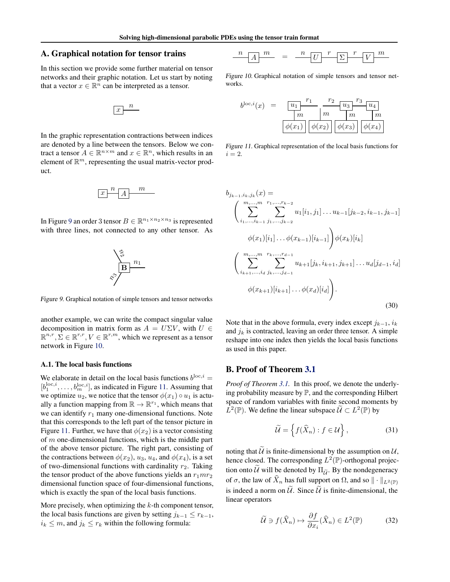### <span id="page-11-0"></span>A. Graphical notation for tensor trains

In this section we provide some further material on tensor networks and their graphic notation. Let us start by noting that a vector  $x \in \mathbb{R}^n$  can be interpreted as a tensor.

$$
\boxed{x}^n
$$

In the graphic representation contractions between indices are denoted by a line between the tensors. Below we contract a tensor  $A \in \mathbb{R}^{n \times m}$  and  $x \in \mathbb{R}^n$ , which results in an element of  $\mathbb{R}^m$ , representing the usual matrix-vector product.

$$
\boxed{x}^n \boxed{A}^m
$$

In Figure 9 an order 3 tensor  $B \in \mathbb{R}^{n_1 \times n_2 \times n_3}$  is represented with three lines, not connected to any other tensor. As



Figure 9. Graphical notation of simple tensors and tensor networks

another example, we can write the compact singular value decomposition in matrix form as  $A = U\Sigma V$ , with  $U \in$  $\mathbb{R}^{n,r}, \Sigma \in \mathbb{R}^{r,r}, V \in \mathbb{R}^{r,m}$ , which we represent as a tensor network in Figure 10.

### A.1. The local basis functions

We elaborate in detail on the local basis functions  $b^{\text{loc},i} =$  $[b_1^{\text{loc},i}, \ldots, b_m^{\text{loc},i}]$ , as indicated in Figure 11. Assuming that we optimize  $u_2$ , we notice that the tensor  $\phi(x_1) \circ u_1$  is actually a function mapping from  $\mathbb{R} \to \mathbb{R}^{r_1}$ , which means that we can identify  $r_1$  many one-dimensional functions. Note that this corresponds to the left part of the tensor picture in Figure 11. Further, we have that  $\phi(x_2)$  is a vector consisting of  $m$  one-dimensional functions, which is the middle part of the above tensor picture. The right part, consisting of the contractions between  $\phi(x_2)$ ,  $u_3$ ,  $u_4$ , and  $\phi(x_4)$ , is a set of two-dimensional functions with cardinality  $r_2$ . Taking the tensor product of the above functions yields an  $r_1mr_2$ dimensional function space of four-dimensional functions, which is exactly the span of the local basis functions.

More precisely, when optimizing the  $k$ -th component tensor, the local basis functions are given by setting  $j_{k-1} \leq r_{k-1}$ ,  $i_k \leq m$ , and  $j_k \leq r_k$  within the following formula:

$$
\frac{n}{|A|}\frac{m}{m} = \frac{n}{|U|}\frac{r}{\sum |V|}\frac{m}{|V|}
$$

Figure 10. Graphical notation of simple tensors and tensor networks.

$$
b^{\text{loc},i}(x) = \frac{u_1}{m} \frac{r_1}{m} \frac{r_2}{m} \frac{u_3}{m} \frac{r_3}{m} \frac{u_4}{m}
$$

$$
\phi(x_1) \phi(x_2) \phi(x_3) \phi(x_4)
$$

Figure 11. Graphical representation of the local basis functions for  $i = 2$ .

$$
b_{j_{k-1},i_k,j_k}(x) =
$$
\n
$$
\left(\sum_{i_1,\ldots,i_{k-1}}^{m,\ldots,m} \sum_{j_1,\ldots,j_{k-2}}^{r_1,\ldots,r_{k-2}} u_1[i_1,j_1]\ldots u_{k-1}[j_{k-2},i_{k-1},j_{k-1}]
$$
\n
$$
\phi(x_1)[i_1]\ldots\phi(x_{k-1})[i_{k-1}]\right)\phi(x_k)[i_k]
$$
\n
$$
\left(\sum_{i_{k+1},\ldots,i_d}^{m,\ldots,m} \sum_{j_k,\ldots,j_{d-1}}^{r_k,\ldots,r_{d-1}} u_{k+1}[j_k,i_{k+1},j_{k+1}]\ldots u_d[j_{d-1},i_d]
$$
\n
$$
\phi(x_{k+1})[i_{k+1}]\ldots\phi(x_d)[i_d]\right).
$$
\n(30)

Note that in the above formula, every index except  $j_{k-1}$ ,  $i_k$ and  $j_k$  is contracted, leaving an order three tensor. A simple reshape into one index then yields the local basis functions as used in this paper.

### B. Proof of Theorem [3.1](#page-5-0)

*Proof of Theorem [3.1.](#page-5-0)* In this proof, we denote the underlying probability measure by  $\mathbb{P}$ , and the corresponding Hilbert space of random variables with finite second moments by  $\tilde{L}^2(\mathbb{P})$ . We define the linear subspace  $\tilde{\mathcal{U}} \subset L^2(\mathbb{P})$  by

$$
\widetilde{\mathcal{U}} = \left\{ f(\widehat{X}_n) : f \in \mathcal{U} \right\},\tag{31}
$$

noting that  $\tilde{U}$  is finite-dimensional by the assumption on  $\mathcal{U}$ , hence closed. The corresponding  $L^2(\mathbb{P})$ -orthogonal projection onto  $\hat{U}$  will be denoted by  $\Pi_{\tilde{U}}$ . By the nondegeneracy of  $\sigma$ , the law of  $\hat{X}_n$  has full support on  $\Omega$ , and so  $\|\cdot\|_{L^2(\mathbb{P})}$ is indeed a norm on  $\mathcal{U}$ . Since  $\mathcal{U}$  is finite-dimensional, the linear operators

$$
\widetilde{\mathcal{U}} \ni f(\widehat{X}_n) \mapsto \frac{\partial f}{\partial x_i}(\widehat{X}_n) \in L^2(\mathbb{P}) \tag{32}
$$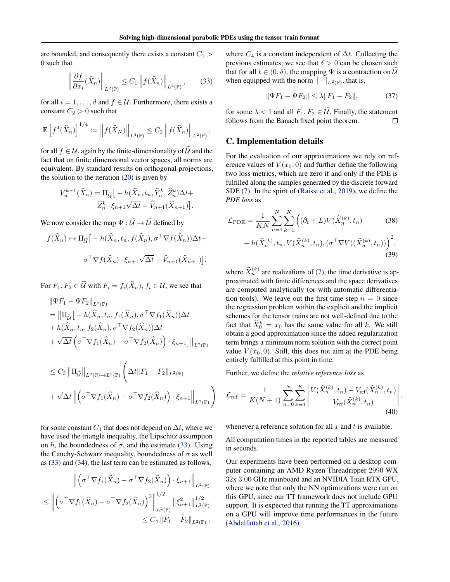,

 $\setminus$ 

<span id="page-12-0"></span>are bounded, and consequently there exists a constant  $C_1$  > 0 such that

$$
\left\| \frac{\partial f}{\partial x_i}(\widehat{X}_n) \right\|_{L^2(\mathbb{P})} \le C_1 \left\| f(\widehat{X}_n) \right\|_{L^2(\mathbb{P})},\qquad(33)
$$

for all  $i = 1, \ldots, d$  and  $f \in \mathcal{U}$ . Furthermore, there exists a constant  $C_2 > 0$  such that

$$
\mathbb{E}\left[f^4(\widehat{X}_n)\right]^{1/4} := \left\|f(\widehat{X}_N)\right\|_{L^4(\mathbb{P})} \le C_2 \left\|f(\widehat{X}_n)\right\|_{L^2(\mathbb{P})}
$$

for all  $f \in U$ , again by the finite-dimensionality of  $\widetilde{U}$  and the fact that on finite dimensional vector spaces, all norms are equivalent. By standard results on orthogonal projections, the solution to the iteration [\(20\)](#page-4-0) is given by

$$
V_n^{k+1}(\widehat{X}_n) = \Pi_{\widetilde{U}} \big[ -h(\widehat{X}_n, t_n, \widehat{Y}_n^k, \widehat{Z}_n^k) \Delta t +
$$

$$
\widehat{Z}_n^k \cdot \xi_{n+1} \sqrt{\Delta t} - \widehat{V}_{n+1}(\widehat{X}_{n+1}) \big].
$$

We now consider the map  $\Psi : \widetilde{\mathcal{U}} \to \widetilde{\mathcal{U}}$  defined by

$$
f(\widehat{X}_n) \mapsto \Pi_{\widetilde{\mathcal{U}}} \big[ -h(\widehat{X}_n, t_n, f(\widehat{X}_n), \sigma^{\top} \nabla f(\widehat{X}_n)) \Delta t +
$$

$$
\sigma^{\top} \nabla f(\widehat{X}_n) \cdot \xi_{n+1} \sqrt{\Delta t} - \widehat{V}_{n+1}(\widehat{X}_{n+1}) \big].
$$

For  $F_1, F_2 \in \widetilde{\mathcal{U}}$  with  $F_i = f_i(\widehat{X}_n)$ ,  $f_i \in \mathcal{U}$ , we see that

$$
\|\Psi F_1 - \Psi F_2\|_{L^2(\mathbb{P})}
$$
\n
$$
= \|\Pi_{\widetilde{U}}[-h(\widehat{X}_n, t_n, f_1(\widehat{X}_n), \sigma^\top \nabla f_1(\widehat{X}_n))\Delta t
$$
\n
$$
+ h(\widehat{X}_n, t_n, f_2(\widehat{X}_n), \sigma^\top \nabla f_2(\widehat{X}_n))\Delta t
$$
\n
$$
+ \sqrt{\Delta t} \left(\sigma^\top \nabla f_1(\widehat{X}_n) - \sigma^\top \nabla f_2(\widehat{X}_n)\right) \cdot \xi_{n+1}\right]\|_{L^2(\mathbb{P})}
$$
\n
$$
\leq C_3 \|\Pi_{\widetilde{U}}\|_{L^2(\mathbb{P}) \to L^2(\mathbb{P})} \left(\Delta t \|F_1 - F_2\|_{L^2(\mathbb{P})}\right)
$$
\n
$$
+ \sqrt{\Delta t} \left\|\left(\sigma^\top \nabla f_1(\widehat{X}_n) - \sigma^\top \nabla f_2(\widehat{X}_n)\right) \cdot \xi_{n+1}\right\|_{L^2(\mathbb{P})}
$$

for some constant  $C_3$  that does not depend on  $\Delta t$ , where we have used the triangle inequality, the Lipschitz assumption on h, the boundedness of  $\sigma$ , and the estimate (33). Using the Cauchy-Schwarz inequality, boundedness of  $\sigma$  as well as (33) and (34), the last term can be estimated as follows,

$$
\left\| \left( \sigma^{\top} \nabla f_1(\widehat{X}_n) - \sigma^{\top} \nabla f_2(\widehat{X}_n) \right) \cdot \xi_{n+1} \right\|_{L^2(\mathbb{P})}
$$
  

$$
\leq \left\| \left( \sigma^{\top} \nabla f_1(\widehat{X}_n) - \sigma^{\top} \nabla f_2(\widehat{X}_n) \right)^2 \right\|_{L^2(\mathbb{P})}^{1/2} \| \xi_{n+1}^2 \|_{L^2(\mathbb{P})}^{1/2}
$$
  

$$
\leq C_4 \| F_1 - F_2 \|_{L^2(\mathbb{P})},
$$

where  $C_4$  is a constant independent of  $\Delta t$ . Collecting the previous estimates, we see that  $\delta > 0$  can be chosen such that for all  $t \in (0, \delta)$ , the mapping  $\Psi$  is a contraction on  $\mathcal U$ when equipped with the norm  $\|\cdot\|_{L^2(\mathbb{P})}$ , that is,

$$
\|\Psi F_1 - \Psi F_2\| \le \lambda \|F_1 - F_2\|,\tag{37}
$$

for some  $\lambda < 1$  and all  $F_1, F_2 \in \tilde{U}$ . Finally, the statement follows from the Banach fixed point theorem. follows from the Banach fixed point theorem.

### C. Implementation details

For the evaluation of our approximations we rely on reference values of  $V(x_0, 0)$  and further define the following two loss metrics, which are zero if and only if the PDE is fulfilled along the samples generated by the discrete forward SDE [\(7\)](#page-2-0). In the spirit of [\(Raissi et al.,](#page-10-0) [2019\)](#page-10-0), we define the *PDE loss* as

$$
\mathcal{L}_{\rm PDE} = \frac{1}{KN} \sum_{n=1}^{N} \sum_{k=1}^{K} \left( (\partial_t + L) V(\hat{X}_n^{(k)}, t_n) \right)
$$
(38)  
+  $h(\hat{X}_n^{(k)}, t_n, V(\hat{X}_n^{(k)}, t_n), (\sigma^{\top} \nabla V)(\hat{X}_n^{(k)}, t_n)) \right)^2$ , (39)

where  $\widehat{X}_n^{(k)}$  are realizations of [\(7\)](#page-2-0), the time derivative is approximated with finite differences and the space derivatives are computed analytically (or with automatic differentiation tools). We leave out the first time step  $n = 0$  since the regression problem within the explicit and the implicit schemes for the tensor trains are not well-defined due to the fact that  $\hat{X}_0^k = x_0$  has the same value for all k. We still obtain a good approximation since the added regularization term brings a minimum norm solution with the correct point value  $V(x_0, 0)$ . Still, this does not aim at the PDE being entirely fulfilled at this point in time.

Further, we define the *relative reference loss* as

$$
\mathcal{L}_{\text{ref}} = \frac{1}{K(N+1)} \sum_{n=0}^{N} \sum_{k=1}^{K} \left| \frac{V(\hat{X}_{n}^{(k)}, t_{n}) - V_{\text{ref}}(\hat{X}_{n}^{(k)}, t_{n})}{V_{\text{ref}}(\hat{X}_{n}^{(k)}, t_{n})} \right|
$$
(40)

,

whenever a reference solution for all  $x$  and  $t$  is available.

All computation times in the reported tables are measured in seconds.

Our experiments have been performed on a desktop computer containing an AMD Ryzen Threadripper 2990 WX 32x 3.00 GHz mainboard and an NVIDIA Titan RTX GPU, where we note that only the NN optimizations were run on this GPU, since our TT framework does not include GPU support. It is expected that running the TT approximations on a GPU will improve time performances in the future [\(Abdelfattah et al.,](#page-8-0) [2016\)](#page-8-0).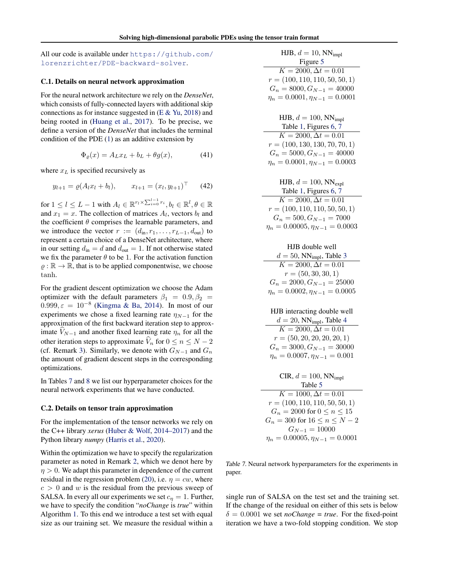<span id="page-13-0"></span>All our code is available under [https://github.com/](https://github.com/lorenzrichter/PDE-backward-solver) [lorenzrichter/PDE-backward-solver](https://github.com/lorenzrichter/PDE-backward-solver).

### C.1. Details on neural network approximation

For the neural network architecture we rely on the *DenseNet*, which consists of fully-connected layers with additional skip connections as for instance suggested in  $(E & Yu, 2018)$  $(E & Yu, 2018)$  $(E & Yu, 2018)$  and being rooted in [\(Huang et al.,](#page-9-0) [2017\)](#page-9-0). To be precise, we define a version of the *DenseNet* that includes the terminal condition of the PDE [\(1\)](#page-1-0) as an additive extension by

$$
\Phi_{\varrho}(x) = A_L x_L + b_L + \theta g(x),\tag{41}
$$

where  $x_L$  is specified recursively as

$$
y_{l+1} = \varrho (A_l x_l + b_l), \qquad x_{l+1} = (x_l, y_{l+1})^\top
$$
 (42)

for  $1\leq l\leq L-1$  with  $A_l\in\mathbb{R}^{r_l\times\sum_{i=0}^{l-1}r_i}, b_l\in\mathbb{R}^l, \theta\in\mathbb{R}$ and  $x_1 = x$ . The collection of matrices  $A_l$ , vectors  $b_l$  and the coefficient  $\theta$  comprises the learnable parameters, and we introduce the vector  $r := (d_{\text{in}}, r_1, \ldots, r_{L-1}, d_{\text{out}})$  to represent a certain choice of a DenseNet architecture, where in our setting  $d_{\text{in}} = d$  and  $d_{\text{out}} = 1$ . If not otherwise stated we fix the parameter  $\theta$  to be 1. For the activation function  $\rho : \mathbb{R} \to \mathbb{R}$ , that is to be applied componentwise, we choose tanh.

For the gradient descent optimization we choose the Adam optimizer with the default parameters  $\beta_1 = 0.9, \beta_2 =$  $0.999, \varepsilon = 10^{-8}$  [\(Kingma & Ba,](#page-9-0) [2014\)](#page-9-0). In most of our experiments we chose a fixed learning rate  $\eta_{N-1}$  for the approximation of the first backward iteration step to approximate  $V_{N-1}$  and another fixed learning rate  $\eta_n$  for all the other iteration steps to approximate  $\hat{V}_n$  for  $0 \le n \le N - 2$ (cf. Remark [3\)](#page-5-0). Similarly, we denote with  $G_{N-1}$  and  $G_n$ the amount of gradient descent steps in the corresponding optimizations.

In Tables 7 and [8](#page-14-0) we list our hyperparameter choices for the neural network experiments that we have conducted.

#### C.2. Details on tensor train approximation

For the implementation of the tensor networks we rely on the C++ library *xerus* [\(Huber & Wolf,](#page-9-0) [2014–2017\)](#page-9-0) and the Python library *numpy* [\(Harris et al.,](#page-9-0) [2020\)](#page-9-0).

Within the optimization we have to specify the regularization parameter as noted in Remark [2,](#page-5-0) which we denot here by  $\eta > 0$ . We adapt this parameter in dependence of the current residual in the regression problem [\(20\)](#page-4-0), i.e.  $\eta = cw$ , where  $c > 0$  and w is the residual from the previous sweep of SALSA. In every all our experiments we set  $c<sub>\eta</sub> = 1$ . Further, we have to specify the condition "*noChange* is *true*" within Algorithm [1.](#page-4-0) To this end we introduce a test set with equal size as our training set. We measure the residual within a

| HJB, $d = 10$ , NN <sub>impl</sub>     |
|----------------------------------------|
| Figure 5                               |
| $K = 2000, \Delta t = 0.01$            |
| $r = (100, 110, 110, 50, 50, 1)$       |
| $G_n = 8000, G_{N-1} = 40000$          |
| $\eta_n = 0.0001, \eta_{N-1} = 0.0001$ |

| HJB, $d = 100$ , NN <sub>impl</sub>    |
|----------------------------------------|
| Table 1, Figures 6, 7                  |
| $\overline{K} = 2000, \Delta t = 0.01$ |
| $r = (100, 130, 130, 70, 70, 1)$       |
| $G_n = 5000, G_{N-1} = 40000$          |
| $\eta_n = 0.0001, \eta_{N-1} = 0.0003$ |
|                                        |

| HJB, $d = 100$ , $NN_{\text{expl}}$ |
|-------------------------------------|
| Table 1, Figures 6, 7               |

| $K = 2000, \Delta t = 0.01$             |
|-----------------------------------------|
| $r = (100, 110, 110, 50, 50, 1)$        |
| $G_n = 500, G_{N-1} = 7000$             |
| $\eta_n = 0.00005, \eta_{N-1} = 0.0003$ |

| HJB double well                         |
|-----------------------------------------|
| $d = 50$ , NN <sub>impl</sub> , Table 3 |
| $K = 2000, \Delta t = 0.01$             |
| $r = (50, 30, 30, 1)$                   |
| $G_n = 2000, G_{N-1} = 25000$           |
| $\eta_n = 0.0002, \eta_{N-1} = 0.0005$  |

HJB interacting double well  $d = 20$ , NN<sub>impl</sub>, Table [4](#page-7-0)  $K = 2000, \Delta t = 0.01$  $r = (50, 20, 20, 20, 20, 1)$  $G_n = 3000, G_{N-1} = 30000$  $\eta_n = 0.0007, \eta_{N-1} = 0.001$ 

| CIR, $d = 100$ , NN <sub>impl</sub>     |
|-----------------------------------------|
| Table 5                                 |
| $K = 1000, \Delta t = 0.01$             |
| $r = (100, 110, 110, 50, 50, 1)$        |
| $G_n = 2000$ for $0 \le n \le 15$       |
| $G_n = 300$ for $16 \le n \le N - 2$    |
| $G_{N-1} = 10000$                       |
| $\eta_n = 0.00005, \eta_{N-1} = 0.0001$ |

Table 7. Neural network hyperparameters for the experiments in paper.

single run of SALSA on the test set and the training set. If the change of the residual on either of this sets is below  $\delta = 0.0001$  we set *noChange = true*. For the fixed-point iteration we have a two-fold stopping condition. We stop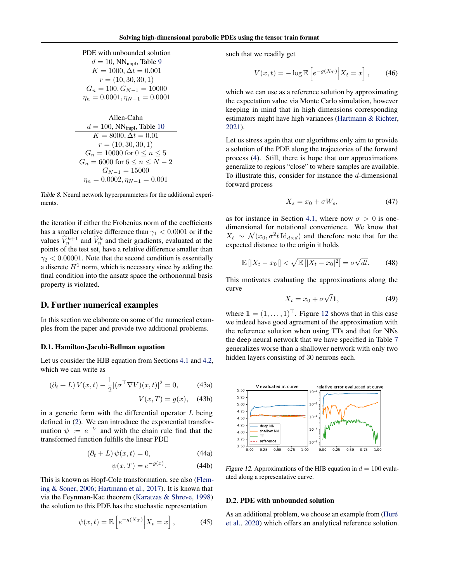<span id="page-14-0"></span>Allen-Cahn

\n
$$
d = 100, \text{NN}_{\text{impl}}, \text{Table 10}
$$
\n
$$
K = 8000, \Delta t = 0.01
$$
\n
$$
r = (10, 30, 30, 1)
$$
\n
$$
G_n = 10000 \text{ for } 0 \le n \le 5
$$
\n
$$
G_n = 6000 \text{ for } 6 \le n \le N - 2
$$
\n
$$
G_{N-1} = 15000
$$
\n
$$
\eta_n = 0.0002, \eta_{N-1} = 0.001
$$

Table 8. Neural network hyperparameters for the additional experiments.

the iteration if either the Frobenius norm of the coefficients has a smaller relative difference than  $\gamma_1 < 0.0001$  or if the values  $\hat{V}_n^{k+1}$  and  $\hat{V}_n^k$  and their gradients, evaluated at the points of the test set, have a relative difference smaller than  $\gamma_2$  < 0.00001. Note that the second condition is essentially a discrete  $H<sup>1</sup>$  norm, which is necessary since by adding the final condition into the ansatz space the orthonormal basis property is violated.

### D. Further numerical examples

In this section we elaborate on some of the numerical examples from the paper and provide two additional problems.

#### D.1. Hamilton-Jacobi-Bellman equation

Let us consider the HJB equation from Sections [4.1](#page-5-0) and [4.2,](#page-6-0) which we can write as

$$
(\partial_t + L) V(x, t) - \frac{1}{2} |(\sigma^\top \nabla V)(x, t)|^2 = 0,
$$
 (43a)

$$
V(x,T) = g(x), \quad \text{(43b)}
$$

in a generic form with the differential operator  $L$  being defined in [\(2\)](#page-1-0). We can introduce the exponential transformation  $\psi := e^{-V}$  and with the chain rule find that the transformed function fulfills the linear PDE

$$
(\partial_t + L)\,\psi(x,t) = 0,\tag{44a}
$$

$$
\psi(x,T) = e^{-g(x)}.\tag{44b}
$$

This is known as Hopf-Cole transformation, see also [\(Flem](#page-8-0)[ing & Soner,](#page-8-0) [2006;](#page-8-0) [Hartmann et al.,](#page-9-0) [2017\)](#page-9-0). It is known that via the Feynman-Kac theorem [\(Karatzas & Shreve,](#page-9-0) [1998\)](#page-9-0) the solution to this PDE has the stochastic representation

$$
\psi(x,t) = \mathbb{E}\left[e^{-g(X_T)}\Big|X_t = x\right],\tag{45}
$$

such that we readily get

$$
V(x,t) = -\log \mathbb{E}\left[e^{-g(X_T)}\Big|X_t = x\right],\qquad(46)
$$

which we can use as a reference solution by approximating the expectation value via Monte Carlo simulation, however keeping in mind that in high dimensions corresponding estimators might have high variances [\(Hartmann & Richter,](#page-9-0) [2021\)](#page-9-0).

Let us stress again that our algorithms only aim to provide a solution of the PDE along the trajectories of the forward process [\(4\)](#page-1-0). Still, there is hope that our approximations generalize to regions "close" to where samples are available. To illustrate this, consider for instance the d-dimensional forward process

$$
X_s = x_0 + \sigma W_s,\tag{47}
$$

as for instance in Section [4.1,](#page-5-0) where now  $\sigma > 0$  is onedimensional for notational convenience. We know that  $X_t \sim \mathcal{N}(x_0, \sigma^2 t \, \mathrm{Id}_{d \times d})$  and therefore note that for the expected distance to the origin it holds

$$
\mathbb{E}\left[|X_t - x_0|\right] < \sqrt{\mathbb{E}\left[|X_t - x_0|^2\right]} = \sigma\sqrt{dt}.\tag{48}
$$

This motivates evaluating the approximations along the curve √

$$
X_t = x_0 + \sigma \sqrt{t \mathbf{1}},\tag{49}
$$

where  $\mathbf{1} = (1, \ldots, 1)^\top$ . Figure 12 shows that in this case we indeed have good agreement of the approximation with the reference solution when using TTs and that for NNs the deep neural network that we have specified in Table [7](#page-13-0) generalizes worse than a shallower network with only two hidden layers consisting of 30 neurons each.



Figure 12. Approximations of the HJB equation in  $d = 100$  evaluated along a representative curve.

### D.2. PDE with unbounded solution

As an additional problem, we choose an example from (Huré [et al.,](#page-9-0) [2020\)](#page-9-0) which offers an analytical reference solution.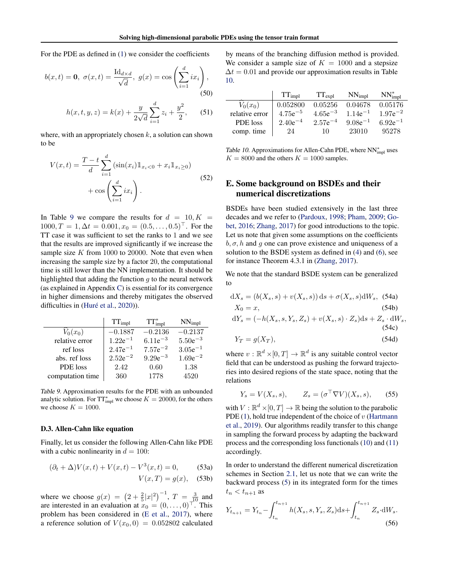<span id="page-15-0"></span>For the PDE as defined in [\(1\)](#page-1-0) we consider the coefficients

$$
b(x,t) = \mathbf{0}, \ \sigma(x,t) = \frac{\mathrm{Id}_{d \times d}}{\sqrt{d}}, \ g(x) = \cos\left(\sum_{i=1}^{d} ix_i\right),\tag{50}
$$

$$
h(x, t, y, z) = k(x) + \frac{y}{2\sqrt{d}} \sum_{i=1}^{d} z_i + \frac{y^2}{2},
$$
 (51)

where, with an appropriately chosen  $k$ , a solution can shown to be

$$
V(x,t) = \frac{T-t}{d} \sum_{i=1}^{d} (\sin(x_i) 1_{x_i < 0} + x_i 1_{x_i \ge 0}) + \cos \left( \sum_{i=1}^{d} ix_i \right).
$$
 (52)

In Table 9 we compare the results for  $d = 10, K =$  $1000, T = 1, \Delta t = 0.001, x_0 = (0.5, \ldots, 0.5)^{\top}$ . For the TT case it was sufficient to set the ranks to 1 and we see that the results are improved significantly if we increase the sample size  $K$  from 1000 to 20000. Note that even when increasing the sample size by a factor 20, the computational time is still lower than the NN implementation. It should be highlighted that adding the function  $g$  to the neural network (as explained in Appendix [C\)](#page-12-0) is essential for its convergence in higher dimensions and thereby mitigates the observed difficulties in  $(Huré et al., 2020)$  $(Huré et al., 2020)$ .

|                      | $TT_{impl}$  | $TT^*_{impl}$ | $NN_{impl}$  |
|----------------------|--------------|---------------|--------------|
| $\widehat{V}_0(x_0)$ | $-0.1887$    | $-0.2136$     | $-0.2137$    |
| relative error       | $1.22e^{-1}$ | $6.11e^{-3}$  | $5.50e^{-3}$ |
| ref loss             | $2.47e^{-1}$ | $7.57e^{-2}$  | $3.05e^{-1}$ |
| abs. ref loss        | $2.52e^{-2}$ | $9.29e^{-3}$  | $1.69e^{-2}$ |
| PDE loss             | 2.42         | 0.60          | 1.38         |
| computation time     | 360          | 1778          | 4520         |

Table 9. Approximation results for the PDE with an unbounded analytic solution. For  $TT^*_{impl}$  we choose  $K = 20000$ , for the others we choose  $K = 1000$ .

### D.3. Allen-Cahn like equation

Finally, let us consider the following Allen-Cahn like PDE with a cubic nonlinearity in  $d = 100$ :

$$
(\partial_t + \Delta)V(x, t) + V(x, t) - V^3(x, t) = 0,
$$
 (53a)  

$$
V(x, T) = g(x),
$$
 (53b)

where we choose  $g(x) = (2 + \frac{2}{5}|x|^2)^{-1}$ ,  $T = \frac{3}{10}$  and are interested in an evaluation at  $x_0 = (0, \ldots, 0)^\top$ . This problem has been considered in [\(E et al.,](#page-8-0) [2017\)](#page-8-0), where a reference solution of  $V(x_0, 0) = 0.052802$  calculated by means of the branching diffusion method is provided. We consider a sample size of  $K = 1000$  and a stepsize  $\Delta t = 0.01$  and provide our approximation results in Table 10.

|                | $TT_{impl}$  | $TT_{expl}$  | $NN_{impl}$  | $NN_{impl}^*$ |
|----------------|--------------|--------------|--------------|---------------|
| $V_0(x_0)$     | 0.052800     | 0.05256      | 0.04678      | 0.05176       |
| relative error | $4.75e^{-5}$ | $4.65e^{-3}$ | $1.14e^{-1}$ | $1.97e^{-2}$  |
| PDE loss       | $2.40e^{-4}$ | $2.57e^{-4}$ | $9.08e^{-1}$ | $6.92e^{-1}$  |
| comp. time     | 24           | 10           | 23010        | 95278         |

Table 10. Approximations for Allen-Cahn PDE, where  $NN_{impl}^*$  uses  $K = 8000$  and the others  $K = 1000$  samples.

## E. Some background on BSDEs and their numerical discretizations

BSDEs have been studied extensively in the last three decades and we refer to [\(Pardoux,](#page-10-0) [1998;](#page-10-0) [Pham,](#page-10-0) [2009;](#page-10-0) [Go](#page-8-0)[bet,](#page-8-0) [2016;](#page-8-0) [Zhang,](#page-10-0) [2017\)](#page-10-0) for good introductions to the topic. Let us note that given some assumptions on the coefficients  $b, \sigma, h$  and q one can prove existence and uniqueness of a solution to the BSDE system as defined in [\(4\)](#page-1-0) and [\(6\)](#page-1-0), see for instance Theorem 4.3.1 in [\(Zhang,](#page-10-0) [2017\)](#page-10-0).

We note that the standard BSDE system can be generalized to

$$
dX_s = (b(X_s, s) + v(X_s, s)) ds + \sigma(X_s, s) dW_s, (54a)
$$
  
\n
$$
X_0 = x,
$$
  
\n
$$
dY_s = (-h(X_s, s, Y_s, Z_s) + v(X_s, s) \cdot Z_s) ds + Z_s \cdot dW_s,
$$

$$
(54c) \t(54e)
$$

$$
Y_T = g(X_T),\tag{54d}
$$

where  $v : \mathbb{R}^d \times [0, T] \to \mathbb{R}^d$  is any suitable control vector field that can be understood as pushing the forward trajectories into desired regions of the state space, noting that the relations

$$
Y_s = V(X_s, s), \qquad Z_s = (\sigma^\top \nabla V)(X_s, s), \qquad (55)
$$

with  $V : \mathbb{R}^d \times [0, T] \to \mathbb{R}$  being the solution to the parabolic PDE [\(1\)](#page-1-0), hold true independent of the choice of  $v$  [\(Hartmann](#page-9-0) [et al.,](#page-9-0) [2019\)](#page-9-0). Our algorithms readily transfer to this change in sampling the forward process by adapting the backward process and the corresponding loss functionals [\(10\)](#page-2-0) and [\(11\)](#page-2-0) accordingly.

In order to understand the different numerical discretization schemes in Section [2.1,](#page-2-0) let us note that we can write the backward process [\(5\)](#page-1-0) in its integrated form for the times  $t_n < t_{n+1}$  as

$$
Y_{t_{n+1}} = Y_{t_n} - \int_{t_n}^{t_{n+1}} h(X_s, s, Y_s, Z_s) ds + \int_{t_n}^{t_{n+1}} Z_s \cdot dW_s.
$$
\n(56)